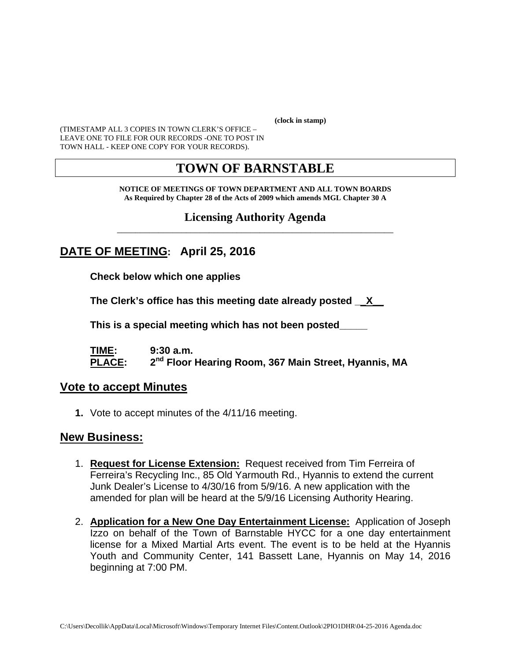**(clock in stamp)** 

(TIMESTAMP ALL 3 COPIES IN TOWN CLERK'S OFFICE – LEAVE ONE TO FILE FOR OUR RECORDS -ONE TO POST IN TOWN HALL - KEEP ONE COPY FOR YOUR RECORDS).

# **TOWN OF BARNSTABLE**

**NOTICE OF MEETINGS OF TOWN DEPARTMENT AND ALL TOWN BOARDS As Required by Chapter 28 of the Acts of 2009 which amends MGL Chapter 30 A** 

### **Licensing Authority Agenda** \_\_\_\_\_\_\_\_\_\_\_\_\_\_\_\_\_\_\_\_\_\_\_\_\_\_\_\_\_\_\_\_\_\_\_\_\_\_\_\_\_\_\_\_\_\_\_\_\_\_\_\_\_\_\_\_\_\_\_\_

# **DATE OF MEETING: April 25, 2016**

**Check below which one applies** 

**The Clerk's office has this meeting date already posted \_\_X\_\_** 

 **This is a special meeting which has not been posted\_\_\_\_\_** 

**TIME: 9:30 a.m.**  PLACE: 2<sup>nd</sup> Floor Hearing Room, 367 Main Street, Hyannis, MA

### **Vote to accept Minutes**

**1.** Vote to accept minutes of the 4/11/16 meeting.

## **New Business:**

- 1. **Request for License Extension:** Request received from Tim Ferreira of Ferreira's Recycling Inc., 85 Old Yarmouth Rd., Hyannis to extend the current Junk Dealer's License to 4/30/16 from 5/9/16. A new application with the amended for plan will be heard at the 5/9/16 Licensing Authority Hearing.
- 2. **Application for a New One Day Entertainment License:** Application of Joseph Izzo on behalf of the Town of Barnstable HYCC for a one day entertainment license for a Mixed Martial Arts event. The event is to be held at the Hyannis Youth and Community Center, 141 Bassett Lane, Hyannis on May 14, 2016 beginning at 7:00 PM.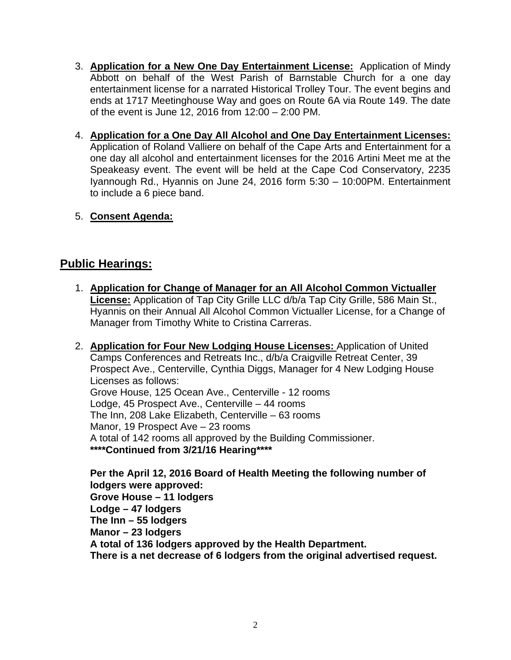- 3. **Application for a New One Day Entertainment License:** Application of Mindy Abbott on behalf of the West Parish of Barnstable Church for a one day entertainment license for a narrated Historical Trolley Tour. The event begins and ends at 1717 Meetinghouse Way and goes on Route 6A via Route 149. The date of the event is June 12, 2016 from 12:00 – 2:00 PM.
- 4. **Application for a One Day All Alcohol and One Day Entertainment Licenses:** Application of Roland Valliere on behalf of the Cape Arts and Entertainment for a one day all alcohol and entertainment licenses for the 2016 Artini Meet me at the Speakeasy event. The event will be held at the Cape Cod Conservatory, 2235 Iyannough Rd., Hyannis on June 24, 2016 form 5:30 – 10:00PM. Entertainment to include a 6 piece band.
- 5. **Consent Agenda:**

# **Public Hearings:**

- 1. **Application for Change of Manager for an All Alcohol Common Victualler License:** Application of Tap City Grille LLC d/b/a Tap City Grille, 586 Main St., Hyannis on their Annual All Alcohol Common Victualler License, for a Change of Manager from Timothy White to Cristina Carreras.
- 2. **Application for Four New Lodging House Licenses:** Application of United Camps Conferences and Retreats Inc., d/b/a Craigville Retreat Center, 39 Prospect Ave., Centerville, Cynthia Diggs, Manager for 4 New Lodging House Licenses as follows: Grove House, 125 Ocean Ave., Centerville - 12 rooms Lodge, 45 Prospect Ave., Centerville – 44 rooms The Inn, 208 Lake Elizabeth, Centerville – 63 rooms Manor, 19 Prospect Ave – 23 rooms A total of 142 rooms all approved by the Building Commissioner. **\*\*\*\*Continued from 3/21/16 Hearing\*\*\*\***

**Per the April 12, 2016 Board of Health Meeting the following number of lodgers were approved: Grove House – 11 lodgers Lodge – 47 lodgers The Inn – 55 lodgers Manor – 23 lodgers A total of 136 lodgers approved by the Health Department. There is a net decrease of 6 lodgers from the original advertised request.**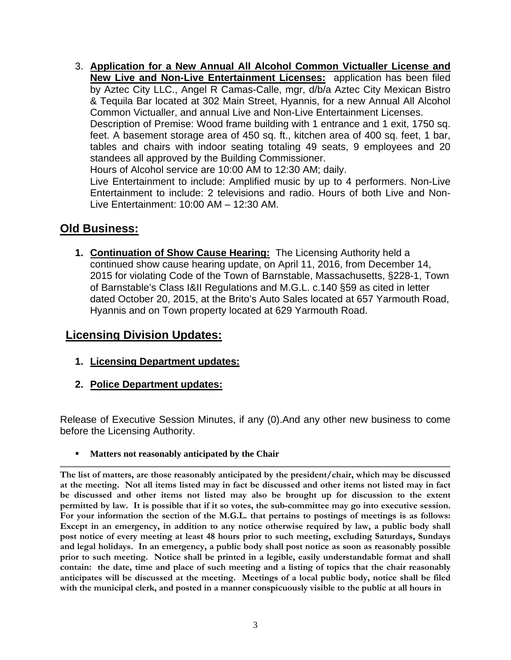3. **Application for a New Annual All Alcohol Common Victualler License and New Live and Non-Live Entertainment Licenses:** application has been filed by Aztec City LLC., Angel R Camas-Calle, mgr, d/b/a Aztec City Mexican Bistro & Tequila Bar located at 302 Main Street, Hyannis, for a new Annual All Alcohol Common Victualler, and annual Live and Non-Live Entertainment Licenses. Description of Premise: Wood frame building with 1 entrance and 1 exit, 1750 sq. feet. A basement storage area of 450 sq. ft., kitchen area of 400 sq. feet, 1 bar, tables and chairs with indoor seating totaling 49 seats, 9 employees and 20 standees all approved by the Building Commissioner. Hours of Alcohol service are 10:00 AM to 12:30 AM; daily. Live Entertainment to include: Amplified music by up to 4 performers. Non-Live Entertainment to include: 2 televisions and radio. Hours of both Live and Non-Live Entertainment: 10:00 AM – 12:30 AM.

## **Old Business:**

**1. Continuation of Show Cause Hearing:** The Licensing Authority held a continued show cause hearing update, on April 11, 2016, from December 14, 2015 for violating Code of the Town of Barnstable, Massachusetts, §228-1, Town of Barnstable's Class I&II Regulations and M.G.L. c.140 §59 as cited in letter dated October 20, 2015, at the Brito's Auto Sales located at 657 Yarmouth Road, Hyannis and on Town property located at 629 Yarmouth Road.

## **Licensing Division Updates:**

- **1. Licensing Department updates:**
- **2. Police Department updates:**

Release of Executive Session Minutes, if any (0).And any other new business to come before the Licensing Authority.

**Matters not reasonably anticipated by the Chair** 

**The list of matters, are those reasonably anticipated by the president/chair, which may be discussed at the meeting. Not all items listed may in fact be discussed and other items not listed may in fact be discussed and other items not listed may also be brought up for discussion to the extent permitted by law. It is possible that if it so votes, the sub-committee may go into executive session. For your information the section of the M.G.L. that pertains to postings of meetings is as follows: Except in an emergency, in addition to any notice otherwise required by law, a public body shall post notice of every meeting at least 48 hours prior to such meeting, excluding Saturdays, Sundays and legal holidays. In an emergency, a public body shall post notice as soon as reasonably possible prior to such meeting. Notice shall be printed in a legible, easily understandable format and shall contain: the date, time and place of such meeting and a listing of topics that the chair reasonably anticipates will be discussed at the meeting. Meetings of a local public body, notice shall be filed with the municipal clerk, and posted in a manner conspicuously visible to the public at all hours in**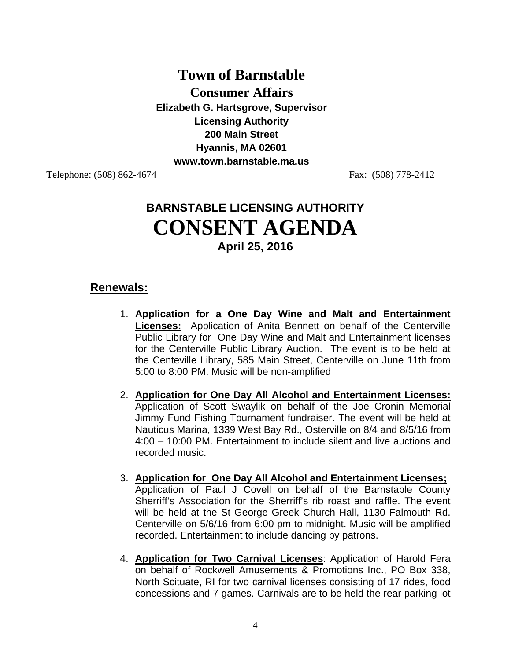## **Town of Barnstable**

**Consumer Affairs** 

**Elizabeth G. Hartsgrove, Supervisor Licensing Authority 200 Main Street Hyannis, MA 02601 www.town.barnstable.ma.us** 

Telephone: (508) 862-4674 Fax: (508) 778-2412

# **BARNSTABLE LICENSING AUTHORITY CONSENT AGENDA April 25, 2016**

## **Renewals:**

- 1. **Application for a One Day Wine and Malt and Entertainment Licenses:** Application of Anita Bennett on behalf of the Centerville Public Library for One Day Wine and Malt and Entertainment licenses for the Centerville Public Library Auction. The event is to be held at the Centeville Library, 585 Main Street, Centerville on June 11th from 5:00 to 8:00 PM. Music will be non-amplified
- 2. **Application for One Day All Alcohol and Entertainment Licenses:**  Application of Scott Swaylik on behalf of the Joe Cronin Memorial Jimmy Fund Fishing Tournament fundraiser. The event will be held at Nauticus Marina, 1339 West Bay Rd., Osterville on 8/4 and 8/5/16 from 4:00 – 10:00 PM. Entertainment to include silent and live auctions and recorded music.
- 3. **Application for One Day All Alcohol and Entertainment Licenses;**  Application of Paul J Covell on behalf of the Barnstable County Sherriff's Association for the Sherriff's rib roast and raffle. The event will be held at the St George Greek Church Hall, 1130 Falmouth Rd. Centerville on 5/6/16 from 6:00 pm to midnight. Music will be amplified recorded. Entertainment to include dancing by patrons.
- 4. **Application for Two Carnival Licenses**: Application of Harold Fera on behalf of Rockwell Amusements & Promotions Inc., PO Box 338, North Scituate, RI for two carnival licenses consisting of 17 rides, food concessions and 7 games. Carnivals are to be held the rear parking lot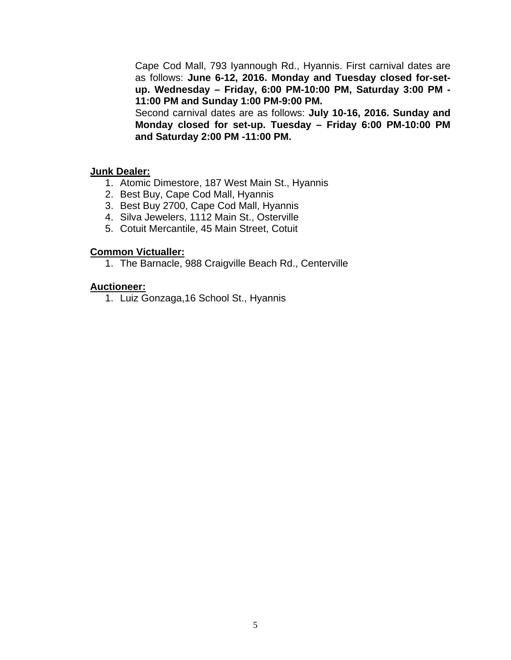Cape Cod Mall, 793 Iyannough Rd., Hyannis. First carnival dates are as follows: **June 6-12, 2016. Monday and Tuesday closed for-setup. Wednesday – Friday, 6:00 PM-10:00 PM, Saturday 3:00 PM - 11:00 PM and Sunday 1:00 PM-9:00 PM.** 

Second carnival dates are as follows: **July 10-16, 2016. Sunday and Monday closed for set-up. Tuesday – Friday 6:00 PM-10:00 PM and Saturday 2:00 PM -11:00 PM.** 

### **Junk Dealer:**

- 1. Atomic Dimestore, 187 West Main St., Hyannis
- 2. Best Buy, Cape Cod Mall, Hyannis
- 3. Best Buy 2700, Cape Cod Mall, Hyannis
- 4. Silva Jewelers, 1112 Main St., Osterville
- 5. Cotuit Mercantile, 45 Main Street, Cotuit

#### **Common Victualler:**

1. The Barnacle, 988 Craigville Beach Rd., Centerville

### **Auctioneer:**

1. Luiz Gonzaga,16 School St., Hyannis